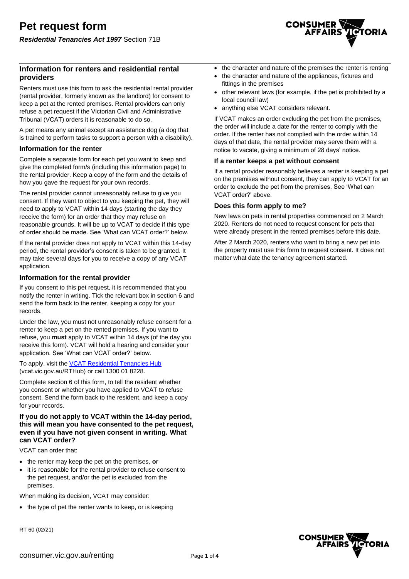# **Information for renters and residential rental providers**

Renters must use this form to ask the residential rental provider (rental provider, formerly known as the landlord) for consent to keep a pet at the rented premises. Rental providers can only refuse a pet request if the Victorian Civil and Administrative Tribunal (VCAT) orders it is reasonable to do so.

A pet means any animal except an assistance dog (a dog that is trained to perform tasks to support a person with a disability).

### **Information for the renter**

Complete a separate form for each pet you want to keep and give the completed form/s (including this information page) to the rental provider. Keep a copy of the form and the details of how you gave the request for your own records.

The rental provider cannot unreasonably refuse to give you consent. If they want to object to you keeping the pet, they will need to apply to VCAT within 14 days (starting the day they receive the form) for an order that they may refuse on reasonable grounds. It will be up to VCAT to decide if this type of order should be made. See 'What can VCAT order?' below.

If the rental provider does not apply to VCAT within this 14-day period, the rental provider's consent is taken to be granted. It may take several days for you to receive a copy of any VCAT application.

### **Information for the rental provider**

If you consent to this pet request, it is recommended that you notify the renter in writing. Tick the relevant box in section 6 and send the form back to the renter, keeping a copy for your records.

Under the law, you must not unreasonably refuse consent for a renter to keep a pet on the rented premises. If you want to refuse, you **must** apply to VCAT within 14 days (of the day you receive this form). VCAT will hold a hearing and consider your application. See 'What can VCAT order?' below.

To apply, visit the [VCAT Residential Tenancies Hub](https://www.vcat.vic.gov.au/RTHub) (vcat.vic.gov.au/RTHub) or call 1300 01 8228.

Complete section 6 of this form, to tell the resident whether you consent or whether you have applied to VCAT to refuse consent. Send the form back to the resident, and keep a copy for your records.

### **If you do not apply to VCAT within the 14-day period, this will mean you have consented to the pet request, even if you have not given consent in writing. What can VCAT order?**

VCAT can order that:

- the renter may keep the pet on the premises, **or**
- it is reasonable for the rental provider to refuse consent to the pet request, and/or the pet is excluded from the premises.

When making its decision, VCAT may consider:

• the type of pet the renter wants to keep, or is keeping

RT 60 (02/21)



- the character and nature of the premises the renter is renting
- the character and nature of the appliances, fixtures and fittings in the premises
- other relevant laws (for example, if the pet is prohibited by a local council law)
- anything else VCAT considers relevant.

If VCAT makes an order excluding the pet from the premises, the order will include a date for the renter to comply with the order. If the renter has not complied with the order within 14 days of that date, the rental provider may serve them with a notice to vacate, giving a minimum of 28 days' notice.

### **If a renter keeps a pet without consent**

If a rental provider reasonably believes a renter is keeping a pet on the premises without consent, they can apply to VCAT for an order to exclude the pet from the premises. See 'What can VCAT order?' above.

### **Does this form apply to me?**

New laws on pets in rental properties commenced on 2 March 2020. Renters do not need to request consent for pets that were already present in the rented premises before this date.

After 2 March 2020, renters who want to bring a new pet into the property must use this form to request consent. It does not matter what date the tenancy agreement started.

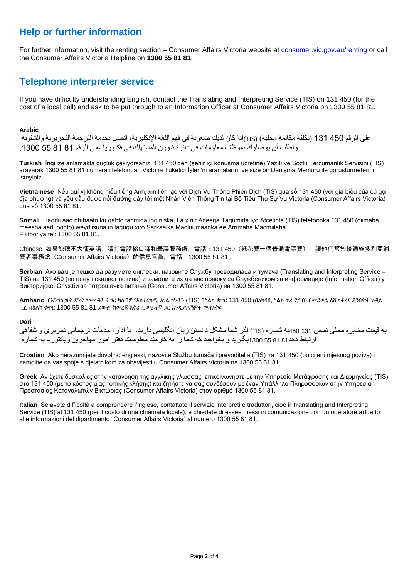# **Help or further information**

For further information, visit the renting section – Consumer Affairs Victoria website at [consumer.vic.gov.au/renting](http://www.consumer.vic.gov.au/renting) or call the Consumer Affairs Victoria Helpline on **1300 55 81 81**.

# **Telephone interpreter service**

If you have difficulty understanding English, contact the Translating and Interpreting Service (TIS) on 131 450 (for the cost of a local call) and ask to be put through to an Information Officer at Consumer Affairs Victoria on 1300 55 81 81.

## **Arabic**

على الرقم 450 131 )بكلفة مكالمة محلية( (TIS(إذا كان لديك صعوبة في فهم اللغة اإلنكليزية، اتصل بخدمة الترجمة التحريرية والشفوية واطلب أن يوصلوك بموظف معلومات في دائرة شؤون المستهلك في فكتوريا على الرقم 81 81 55 .1300

**Turkish** İngilize anlamakta güçlük çekiyorsanız, 131 450'den (şehir içi konuşma ücretine) Yazılı ve Sözlü Tercümanlık Servisini (TIS) arayarak 1300 55 81 81 numerali telefondan Victoria Tüketici İşleri'ni aramalarını ve size bir Danişma Memuru ile görüştürmelerini isteyiniz.

**Vietnamese** Nếu quí vị không hiểu tiếng Anh, xin liên lạc với Dịch Vụ Thông Phiên Dịch (TIS) qua số 131 450 (với giá biểu của cú gọi địa phương) và yêu cầu được nối đường dây tới một Nhân Viên Thông Tin tại Bộ Tiêu Thụ Sự Vụ Victoria (Consumer Affairs Victoria) qua số 1300 55 81 81.

**Somali** Haddii aad dhibaato ku qabto fahmida Ingiriiska, La xiriir Adeega Tarjumida iyo Afcelinta (TIS) telefoonka 131 450 (qiimaha meesha aad joogto) weydiisuna in lagugu xiro Sarkaalka Macluumaadka ee Arrimaha Macmiilaha Fiktooriya tel: 1300 55 81 81.

Chinese 如果您聽不大懂英語,請打電話給口譯和筆譯服務處,電話:131 450(衹花費一個普通電話費),讓他們幫您接通維多利亞消 費者事務處(Consumer Affairs Victoria)的信息官員,電話:1300 55 81 81。

**Serbian** Ако вам је тешко да разумете енглески, назовите Службу преводилаца и тумача (Translating and Interpreting Service – TIS) на 131 450 (по цену локалног позива) и замолите их да вас повежу са Службеником за информације (Information Officer) у Викторијској Служби за потрошачка питања (Consumer Affairs Victoria) на 1300 55 81 81.

**Amharic** በእንግሊዝኛ ቋንቋ ለመረዳት ችግር ካለብዎ የአስተርጓሚ አገልግሎትን (TIS) በስልክ ቁጥር 131 450 (በአካባቢ ስልክ ጥሪ ሂሳብ) በመደወል ለቪክቶሪያ ደንበኞች ጉዳይ ቢሮ በስልክ ቁጥር 1300 55 81 81 ደውሎ ከመረጃ አቅራቢ ሠራተኛ ጋር እንዲያገናኝዎት መጠየቅ።

### **Dari**

به قيمت مخابره محلی تماس 131 450به شماره (TIS (اگر شما مشکل دانستن زبان انگليسی داريد، با اداره خدمات ترجمانی تحريری و شفاهی . ارتباط دهد81 81 55 1300بگيريد و بخواهيد که شما را به کارمند معلومات دفتر امور مهاجرين ويکتوريا به شماره

**Croatian** Ako nerazumijete dovoljno engleski, nazovite Službu tumača i prevoditelja (TIS) na 131 450 (po cijeni mjesnog poziva) i zamolite da vas spoje s djelatnikom za obavijesti u Consumer Affairs Victoria na 1300 55 81 81.

**Greek** Αν έχετε δυσκολίες στην κατανόηση της αγγλικής γλώσσας, επικοινωνήστε με την Υπηρεσία Μετάφρασης και Διερμηνείας (ΤΙS) στο 131 450 (με το κόστος μιας τοπικής κλήσης) και ζητήστε να σας συνδέσουν με έναν Υπάλληλο Πληροφοριών στην Υπηρεσία Προστασίας Καταναλωτών Βικτώριας (Consumer Affairs Victoria) στον αριθμό 1300 55 81 81.

**Italian** Se avete difficoltà a comprendere l'inglese, contattate il servizio interpreti e traduttori, cioè il Translating and Interpreting Service (TIS) al 131 450 (per il costo di una chiamata locale), e chiedete di essee messi in comunicazione con un operatore addetto alle informazioni del dipartimento "Consumer Affairs Victoria" al numero 1300 55 81 81.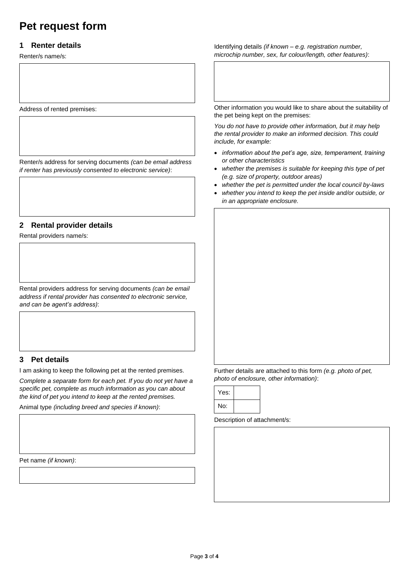# **Pet request form**

# **1 Renter details**

Renter/s name/s:

Address of rented premises:

Renter/s address for serving documents *(can be email address if renter has previously consented to electronic service)*:

# **2 Rental provider details**

Rental providers name/s:

Rental providers address for serving documents *(can be email address if rental provider has consented to electronic service, and can be agent's address)*:

# **3 Pet details**

I am asking to keep the following pet at the rented premises.

*Complete a separate form for each pet. If you do not yet have a specific pet, complete as much information as you can about the kind of pet you intend to keep at the rented premises.*

Animal type *(including breed and species if known)*:

Pet name *(if known)*:

Identifying details *(if known – e.g. registration number, microchip number, sex, fur colour/length, other features)*:

Other information you would like to share about the suitability of the pet being kept on the premises:

*You do not have to provide other information, but it may help the rental provider to make an informed decision. This could include, for example:*

- *information about the pet's age, size, temperament, training or other characteristics*
- *whether the premises is suitable for keeping this type of pet (e.g. size of property, outdoor areas)*
- *whether the pet is permitted under the local council by-laws*
- *whether you intend to keep the pet inside and/or outside, or in an appropriate enclosure.*

Further details are attached to this form *(e.g. photo of pet, photo of enclosure, other information)*:

| Yes: |  |
|------|--|
| No:  |  |

Description of attachment/s: